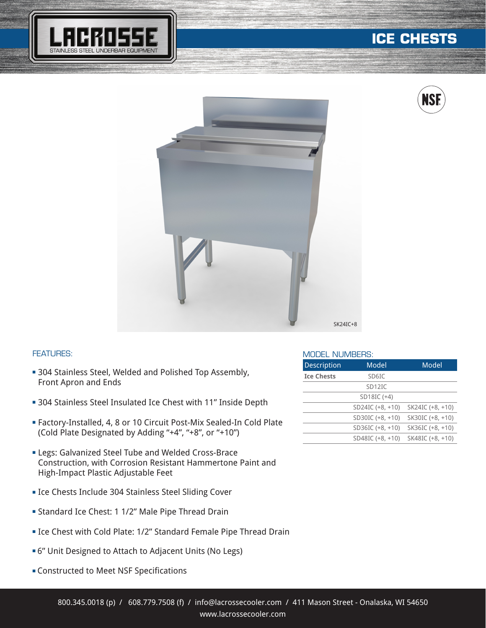

# **ICE CHESTS**





### FEATURES:

- **304 Stainless Steel, Welded and Polished Top Assembly,** Front Apron and Ends
- **= 304 Stainless Steel Insulated Ice Chest with 11" Inside Depth**
- <sup>n</sup> Factory-Installed, 4, 8 or 10 Circuit Post-Mix Sealed-In Cold Plate (Cold Plate Designated by Adding "+4", "+8", or "+10")
- **ELegs: Galvanized Steel Tube and Welded Cross-Brace** Construction, with Corrosion Resistant Hammertone Paint and High-Impact Plastic Adjustable Feet
- **Executer Include 304 Stainless Steel Sliding Cover**
- **Example 2** Standard Ice Chest: 1 1/2" Male Pipe Thread Drain
- **Example 2 Field Fiate: 1/2" Standard Female Pipe Thread Drain**
- <sup>n</sup> 6" Unit Designed to Attach to Adjacent Units (No Legs)
- **EX Constructed to Meet NSF Specifications**

#### MODEL NUMBERS:

| <b>Description</b> | Model               | Model            |  |  |  |  |
|--------------------|---------------------|------------------|--|--|--|--|
| <b>Ice Chests</b>  | SD6IC               |                  |  |  |  |  |
|                    | SD <sub>12</sub> IC |                  |  |  |  |  |
|                    | SD18IC (+4)         |                  |  |  |  |  |
|                    | SD24IC (+8, +10)    | SK24IC (+8, +10) |  |  |  |  |
|                    | SD30IC (+8, +10)    | SK30IC (+8, +10) |  |  |  |  |
|                    | SD36IC $(+8, +10)$  | SK36IC (+8, +10) |  |  |  |  |
|                    | SD48IC (+8, +10)    | SK48IC (+8, +10) |  |  |  |  |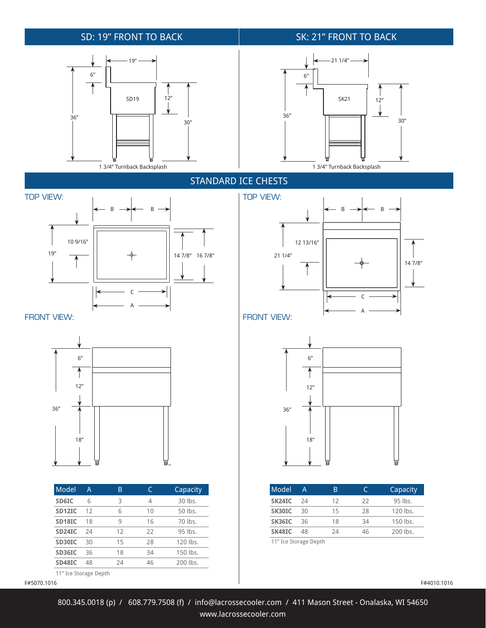